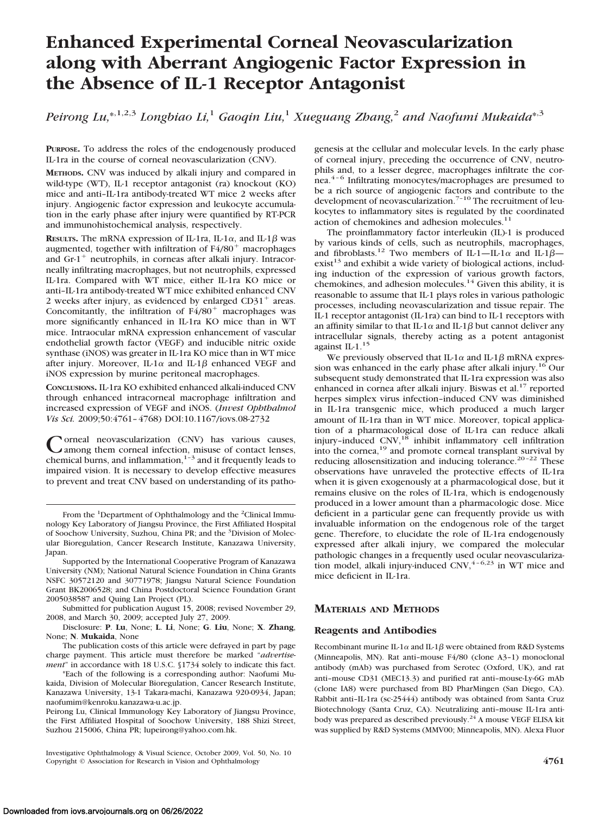# **Enhanced Experimental Corneal Neovascularization along with Aberrant Angiogenic Factor Expression in the Absence of IL-1 Receptor Antagonist**

Peirong Lu,\*<sup>,1,2,3</sup> Longbiao Li,<sup>1</sup> Gaoqin Liu,<sup>1</sup> Xueguang Zhang,<sup>2</sup> and Naofumi Mukaida\*<sup>,3</sup>

**PURPOSE.** To address the roles of the endogenously produced IL-1ra in the course of corneal neovascularization (CNV).

**METHODS.** CNV was induced by alkali injury and compared in wild-type (WT), IL-1 receptor antagonist (ra) knockout (KO) mice and anti–IL-1ra antibody-treated WT mice 2 weeks after injury. Angiogenic factor expression and leukocyte accumulation in the early phase after injury were quantified by RT-PCR and immunohistochemical analysis, respectively.

**RESULTS.** The mRNA expression of IL-1ra, IL-1 $\alpha$ , and IL-1 $\beta$  was augmented, together with infiltration of  $F4/80<sup>+</sup>$  macrophages and  $Gr-1$ <sup>+</sup> neutrophils, in corneas after alkali injury. Intracorneally infiltrating macrophages, but not neutrophils, expressed IL-1ra. Compared with WT mice, either IL-1ra KO mice or anti–IL-1ra antibody-treated WT mice exhibited enhanced CNV 2 weeks after injury, as evidenced by enlarged  $CD31<sup>+</sup>$  areas. Concomitantly, the infiltration of  $F4/80<sup>+</sup>$  macrophages was more significantly enhanced in IL-1ra KO mice than in WT mice. Intraocular mRNA expression enhancement of vascular endothelial growth factor (VEGF) and inducible nitric oxide synthase (iNOS) was greater in IL-1ra KO mice than in WT mice after injury. Moreover, IL-1 $\alpha$  and IL-1 $\beta$  enhanced VEGF and iNOS expression by murine peritoneal macrophages.

**CONCLUSIONS.** IL-1ra KO exhibited enhanced alkali-induced CNV through enhanced intracorneal macrophage infiltration and increased expression of VEGF and iNOS. (*Invest Ophthalmol Vis Sci.* 2009;50:4761–4768) DOI:10.1167/iovs.08-2732

Corneal neovascularization (CNV) has various causes,<br>
among them corneal infection, misuse of contact lenses,<br>
abomived hypergraphs and inferences in the correct leads to chemical burns, and inflammation, $1-3$  and it frequently leads to impaired vision. It is necessary to develop effective measures to prevent and treat CNV based on understanding of its patho-

From the <sup>1</sup>Department of Ophthalmology and the <sup>2</sup>Clinical Immunology Key Laboratory of Jiangsu Province, the First Affiliated Hospital of Soochow University, Suzhou, China PR; and the <sup>3</sup>Division of Molecular Bioregulation, Cancer Research Institute, Kanazawa University, Japan.

Supported by the International Cooperative Program of Kanazawa University (NM); National Natural Science Foundation in China Grants NSFC 30572120 and 30771978; Jiangsu Natural Science Foundation Grant BK2006528; and China Postdoctoral Science Foundation Grant 2005038587 and Quing Lan Project (PL).

Submitted for publication August 15, 2008; revised November 29, 2008, and March 30, 2009; accepted July 27, 2009.

Disclosure: **P**. **Lu**, None; **L**. **Li**, None; **G**. **Liu**, None; **X**. **Zhang**, None; **N**. **Mukaida**, None

The publication costs of this article were defrayed in part by page charge payment. This article must therefore be marked "*advertisement*" in accordance with 18 U.S.C. §1734 solely to indicate this fact.

\*Each of the following is a corresponding author: Naofumi Mukaida, Division of Molecular Bioregulation, Cancer Research Institute, Kanazawa University, 13-1 Takara-machi, Kanazawa 920-0934, Japan; naofumim@kenroku.kanazawa-u.ac.jp.

Peirong Lu, Clinical Immunology Key Laboratory of Jiangsu Province, the First Affiliated Hospital of Soochow University, 188 Shizi Street, Suzhou 215006, China PR; lupeirong@yahoo.com.hk.

Investigative Ophthalmology & Visual Science, October 2009, Vol. 50, No. 10 Copyright © Association for Research in Vision and Ophthalmology **4761**

genesis at the cellular and molecular levels. In the early phase of corneal injury, preceding the occurrence of CNV, neutrophils and, to a lesser degree, macrophages infiltrate the cornea.<sup>4-6</sup> Infiltrating monocytes/macrophages are presumed to be a rich source of angiogenic factors and contribute to the development of neovascularization. $7-10$  The recruitment of leukocytes to inflammatory sites is regulated by the coordinated action of chemokines and adhesion molecules.<sup>11</sup>

The proinflammatory factor interleukin (IL)-1 is produced by various kinds of cells, such as neutrophils, macrophages, and fibroblasts.<sup>12</sup> Two members of IL-1-IL-1 $\alpha$  and IL-1 $\beta$  $exist<sup>13</sup>$  and exhibit a wide variety of biological actions, including induction of the expression of various growth factors, chemokines, and adhesion molecules.<sup>14</sup> Given this ability, it is reasonable to assume that IL-1 plays roles in various pathologic processes, including neovascularization and tissue repair. The IL-1 receptor antagonist (IL-1ra) can bind to IL-1 receptors with an affinity similar to that IL-1 $\alpha$  and IL-1 $\beta$  but cannot deliver any intracellular signals, thereby acting as a potent antagonist against IL-1.<sup>15</sup>

We previously observed that IL-1 $\alpha$  and IL-1 $\beta$  mRNA expression was enhanced in the early phase after alkali injury.<sup>16</sup> Our subsequent study demonstrated that IL-1ra expression was also enhanced in cornea after alkali injury. Biswas et al.<sup>17</sup> reported herpes simplex virus infection–induced CNV was diminished in IL-1ra transgenic mice, which produced a much larger amount of IL-1ra than in WT mice. Moreover, topical application of a pharmacological dose of IL-1ra can reduce alkali<br>injury–induced CNV,<sup>18</sup> inhibit inflammatory cell infiltration into the cornea,<sup>19</sup> and promote corneal transplant survival by reducing allosensitization and inducing tolerance.<sup>20-22</sup> These observations have unraveled the protective effects of IL-1ra when it is given exogenously at a pharmacological dose, but it remains elusive on the roles of IL-1ra, which is endogenously produced in a lower amount than a pharmacologic dose. Mice deficient in a particular gene can frequently provide us with invaluable information on the endogenous role of the target gene. Therefore, to elucidate the role of IL-1ra endogenously expressed after alkali injury, we compared the molecular pathologic changes in a frequently used ocular neovascularization model, alkali injury-induced  $CNV<sub>1</sub><sup>4-6,23</sup>$  in WT mice and mice deficient in IL-1ra.

## **MATERIALS AND METHODS**

#### **Reagents and Antibodies**

Recombinant murine IL-1 $\alpha$  and IL-1 $\beta$  were obtained from R&D Systems (Minneapolis, MN). Rat anti–mouse F4/80 (clone A3–1) monoclonal antibody (mAb) was purchased from Serotec (Oxford, UK), and rat anti–mouse CD31 (MEC13.3) and purified rat anti–mouse-Ly-6G mAb (clone IA8) were purchased from BD PharMingen (San Diego, CA). Rabbit anti–IL-1ra (sc-25444) antibody was obtained from Santa Cruz Biotechnology (Santa Cruz, CA). Neutralizing anti–mouse IL-1ra antibody was prepared as described previously.<sup>24</sup> A mouse VEGF ELISA kit was supplied by R&D Systems (MMV00; Minneapolis, MN). Alexa Fluor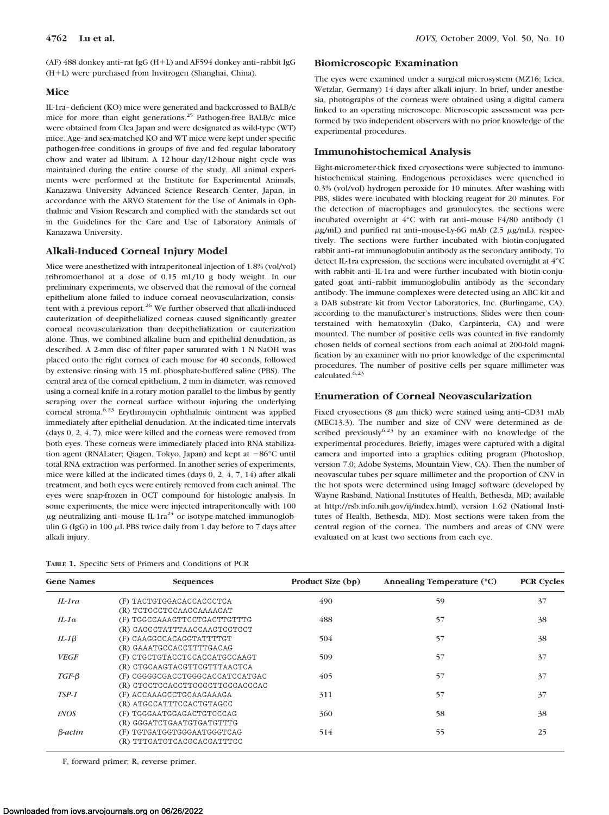## **Mice**

IL-1ra–deficient (KO) mice were generated and backcrossed to BALB/c mice for more than eight generations.<sup>25</sup> Pathogen-free BALB/c mice were obtained from Clea Japan and were designated as wild-type (WT) mice. Age- and sex-matched KO and WT mice were kept under specific pathogen-free conditions in groups of five and fed regular laboratory chow and water ad libitum. A 12-hour day/12-hour night cycle was maintained during the entire course of the study. All animal experiments were performed at the Institute for Experimental Animals, Kanazawa University Advanced Science Research Center, Japan, in accordance with the ARVO Statement for the Use of Animals in Ophthalmic and Vision Research and complied with the standards set out in the Guidelines for the Care and Use of Laboratory Animals of Kanazawa University.

# **Alkali-Induced Corneal Injury Model**

Mice were anesthetized with intraperitoneal injection of 1.8% (vol/vol) tribromoethanol at a dose of 0.15 mL/10 g body weight. In our preliminary experiments, we observed that the removal of the corneal epithelium alone failed to induce corneal neovascularization, consistent with a previous report.<sup>26</sup> We further observed that alkali-induced cauterization of deepithelialized corneas caused significantly greater corneal neovascularization than deepithelialization or cauterization alone. Thus, we combined alkaline burn and epithelial denudation, as described. A 2-mm disc of filter paper saturated with 1 N NaOH was placed onto the right cornea of each mouse for 40 seconds, followed by extensive rinsing with 15 mL phosphate-buffered saline (PBS). The central area of the corneal epithelium, 2 mm in diameter, was removed using a corneal knife in a rotary motion parallel to the limbus by gently scraping over the corneal surface without injuring the underlying corneal stroma.6,23 Erythromycin ophthalmic ointment was applied immediately after epithelial denudation. At the indicated time intervals (days 0, 2, 4, 7), mice were killed and the corneas were removed from both eyes. These corneas were immediately placed into RNA stabilization agent (RNALater; Qiagen, Tokyo, Japan) and kept at -86°C until total RNA extraction was performed. In another series of experiments, mice were killed at the indicated times (days 0, 2, 4, 7, 14) after alkali treatment, and both eyes were entirely removed from each animal. The eyes were snap-frozen in OCT compound for histologic analysis. In some experiments, the mice were injected intraperitoneally with 100  $\mu$ g neutralizing anti-mouse IL-1ra<sup>24</sup> or isotype-matched immunoglobulin G (IgG) in 100  $\mu$ L PBS twice daily from 1 day before to 7 days after alkali injury.

|  |  | TABLE 1. Specific Sets of Primers and Conditions of PCR |  |
|--|--|---------------------------------------------------------|--|
|  |  |                                                         |  |

#### **Biomicroscopic Examination**

The eyes were examined under a surgical microsystem (MZ16; Leica, Wetzlar, Germany) 14 days after alkali injury. In brief, under anesthesia, photographs of the corneas were obtained using a digital camera linked to an operating microscope. Microscopic assessment was performed by two independent observers with no prior knowledge of the experimental procedures.

## **Immunohistochemical Analysis**

Eight-micrometer-thick fixed cryosections were subjected to immunohistochemical staining. Endogenous peroxidases were quenched in 0.3% (vol/vol) hydrogen peroxide for 10 minutes. After washing with PBS, slides were incubated with blocking reagent for 20 minutes. For the detection of macrophages and granulocytes, the sections were incubated overnight at 4°C with rat anti–mouse F4/80 antibody (1  $\mu$ g/mL) and purified rat anti-mouse-Ly-6G mAb (2.5  $\mu$ g/mL), respectively. The sections were further incubated with biotin-conjugated rabbit anti–rat immunoglobulin antibody as the secondary antibody. To detect IL-1ra expression, the sections were incubated overnight at 4°C with rabbit anti–IL-1ra and were further incubated with biotin-conjugated goat anti–rabbit immunoglobulin antibody as the secondary antibody. The immune complexes were detected using an ABC kit and a DAB substrate kit from Vector Laboratories, Inc. (Burlingame, CA), according to the manufacturer's instructions. Slides were then counterstained with hematoxylin (Dako, Carpinteria, CA) and were mounted. The number of positive cells was counted in five randomly chosen fields of corneal sections from each animal at 200-fold magnification by an examiner with no prior knowledge of the experimental procedures. The number of positive cells per square millimeter was calculated.6,23

## **Enumeration of Corneal Neovascularization**

Fixed cryosections (8  $\mu$ m thick) were stained using anti-CD31 mAb (MEC13.3). The number and size of CNV were determined as described previously $6,23$  by an examiner with no knowledge of the experimental procedures. Briefly, images were captured with a digital camera and imported into a graphics editing program (Photoshop, version 7.0; Adobe Systems, Mountain View, CA). Then the number of neovascular tubes per square millimeter and the proportion of CNV in the hot spots were determined using ImageJ software (developed by Wayne Rasband, National Institutes of Health, Bethesda, MD; available at http://rsb.info.nih.gov/ij/index.html), version 1.62 (National Institutes of Health, Bethesda, MD). Most sections were taken from the central region of the cornea. The numbers and areas of CNV were evaluated on at least two sections from each eye.

| <b>Gene Names</b> | <b>Sequences</b>                | Product Size (bp) | Annealing Temperature (°C) | <b>PCR Cycles</b> |
|-------------------|---------------------------------|-------------------|----------------------------|-------------------|
| $II$ -1 $ra$      | (F) TACTGTGGACACCACCCTCA        | 490               | 59                         | 37                |
|                   | (R) TCTGCCTCCAAGCAAAAGAT        |                   |                            |                   |
| $H-1\alpha$       | (F) TGGCCAAAGTTCCTGACTTGTTTG    | 488               | 57                         | 38                |
|                   | (R) CAGGCTATTTAACCAAGTGGTGCT    |                   |                            |                   |
| IL-1 $\beta$      | (F) CAAGGCCACAGGTATTTTGT        | 504               | 57                         | 38                |
|                   | (R) GAAATGCCACCTTTTGACAG        |                   |                            |                   |
| <b>VEGF</b>       | (F) CTGCTGTACCTCCACCATGCCAAGT   | 509               | 57                         | 37                |
|                   | (R) CTGCAAGTACGTTCGTTTAACTCA    |                   |                            |                   |
| $TGF-\beta$       | (F) CGGGGCGACCTGGGCACCATCCATGAC | 405               | 57                         | 37                |
|                   | (R) CTGCTCCACCTTGGGCTTGCGACCCAC |                   |                            |                   |
| $TSP-1$           | (F) ACCAAAGCCTGCAAGAAAGA        | 311               | 57                         | 37                |
|                   | (R) ATGCCATTTCCACTGTAGCC        |                   |                            |                   |
| iNOS              | (F) TGGGAATGGAGACTGTCCCAG       | 360               | 58                         | 38                |
|                   | (R) GGGATCTGAATGTGATGTTTG       |                   |                            |                   |
| β-actin           | (F) TGTGATGGTGGGAATGGGTCAG      | 514               | 55                         | 25                |
|                   | (R) TTTGATGTCACGCACGATTTCC      |                   |                            |                   |

F, forward primer; R, reverse primer.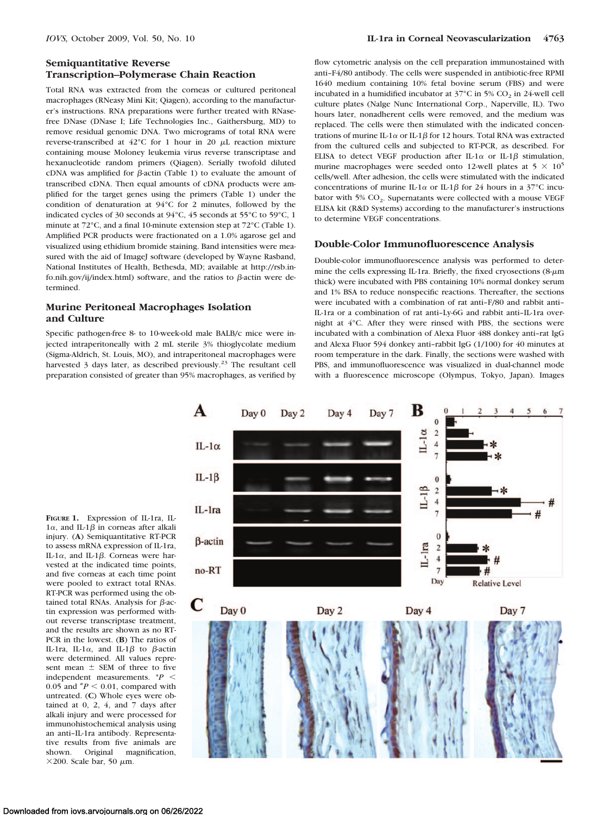# **Semiquantitative Reverse Transcription–Polymerase Chain Reaction**

Total RNA was extracted from the corneas or cultured peritoneal macrophages (RNeasy Mini Kit; Qiagen), according to the manufacturer's instructions. RNA preparations were further treated with RNasefree DNase (DNase I; Life Technologies Inc., Gaithersburg, MD) to remove residual genomic DNA. Two micrograms of total RNA were reverse-transcribed at  $42^{\circ}$ C for 1 hour in 20  $\mu$ L reaction mixture containing mouse Moloney leukemia virus reverse transcriptase and hexanucleotide random primers (Qiagen). Serially twofold diluted cDNA was amplified for  $\beta$ -actin (Table 1) to evaluate the amount of transcribed cDNA. Then equal amounts of cDNA products were amplified for the target genes using the primers (Table 1) under the condition of denaturation at 94°C for 2 minutes, followed by the indicated cycles of 30 seconds at 94°C, 45 seconds at 55°C to 59°C, 1 minute at 72°C, and a final 10-minute extension step at 72°C (Table 1). Amplified PCR products were fractionated on a 1.0% agarose gel and visualized using ethidium bromide staining. Band intensities were measured with the aid of ImageJ software (developed by Wayne Rasband, National Institutes of Health, Bethesda, MD; available at http://rsb.info.nih.gov/ij/index.html) software, and the ratios to  $\beta$ -actin were determined.

## **Murine Peritoneal Macrophages Isolation and Culture**

Specific pathogen-free 8- to 10-week-old male BALB/c mice were injected intraperitoneally with 2 mL sterile 3% thioglycolate medium (Sigma-Aldrich, St. Louis, MO), and intraperitoneal macrophages were harvested 3 days later, as described previously.<sup>23</sup> The resultant cell preparation consisted of greater than 95% macrophages, as verified by

flow cytometric analysis on the cell preparation immunostained with anti–F4/80 antibody. The cells were suspended in antibiotic-free RPMI 1640 medium containing 10% fetal bovine serum (FBS) and were incubated in a humidified incubator at  $37^{\circ}$ C in 5% CO<sub>2</sub> in 24-well cell culture plates (Nalge Nunc International Corp., Naperville, IL). Two hours later, nonadherent cells were removed, and the medium was replaced. The cells were then stimulated with the indicated concentrations of murine IL-1 $\alpha$  or IL-1 $\beta$  for 12 hours. Total RNA was extracted from the cultured cells and subjected to RT-PCR, as described. For ELISA to detect VEGF production after IL-1 $\alpha$  or IL-1 $\beta$  stimulation, murine macrophages were seeded onto 12-well plates at  $5 \times 10^5$ cells/well. After adhesion, the cells were stimulated with the indicated concentrations of murine IL-1 $\alpha$  or IL-1 $\beta$  for 24 hours in a 37°C incubator with  $5\%$  CO<sub>2</sub>. Supernatants were collected with a mouse VEGF ELISA kit (R&D Systems) according to the manufacturer's instructions to determine VEGF concentrations.

#### **Double-Color Immunofluorescence Analysis**

Double-color immunofluorescence analysis was performed to determine the cells expressing IL-1ra. Briefly, the fixed cryosections (8- $\mu$ m thick) were incubated with PBS containing 10% normal donkey serum and 1% BSA to reduce nonspecific reactions. Thereafter, the sections were incubated with a combination of rat anti–F/80 and rabbit anti– IL-1ra or a combination of rat anti–Ly-6G and rabbit anti–IL-1ra overnight at 4°C. After they were rinsed with PBS, the sections were incubated with a combination of Alexa Fluor 488 donkey anti–rat IgG and Alexa Fluor 594 donkey anti–rabbit IgG (1/100) for 40 minutes at room temperature in the dark. Finally, the sections were washed with PBS, and immunofluorescence was visualized in dual-channel mode with a fluorescence microscope (Olympus, Tokyo, Japan). Images

**FIGURE 1.** Expression of IL-1ra, IL- $1\alpha$ , and IL-1 $\beta$  in corneas after alkali injury. (**A**) Semiquantitative RT-PCR to assess mRNA expression of IL-1ra, IL-1 $\alpha$ , and IL-1 $\beta$ . Corneas were harvested at the indicated time points, and five corneas at each time point were pooled to extract total RNAs. RT-PCR was performed using the obtained total RNAs. Analysis for  $\beta$ -actin expression was performed without reverse transcriptase treatment, and the results are shown as no RT-PCR in the lowest. (**B**) The ratios of IL-1ra, IL-1 $\alpha$ , and IL-1 $\beta$  to  $\beta$ -actin were determined. All values represent mean  $\pm$  SEM of three to five independent measurements. \**P* 0.05 and  $^{*}P$  < 0.01, compared with untreated. (**C**) Whole eyes were obtained at 0, 2, 4, and 7 days after alkali injury and were processed for immunohistochemical analysis using an anti–IL-1ra antibody. Representative results from five animals are shown. Original magnification,  $\times$ 200. Scale bar, 50  $\mu$ m.

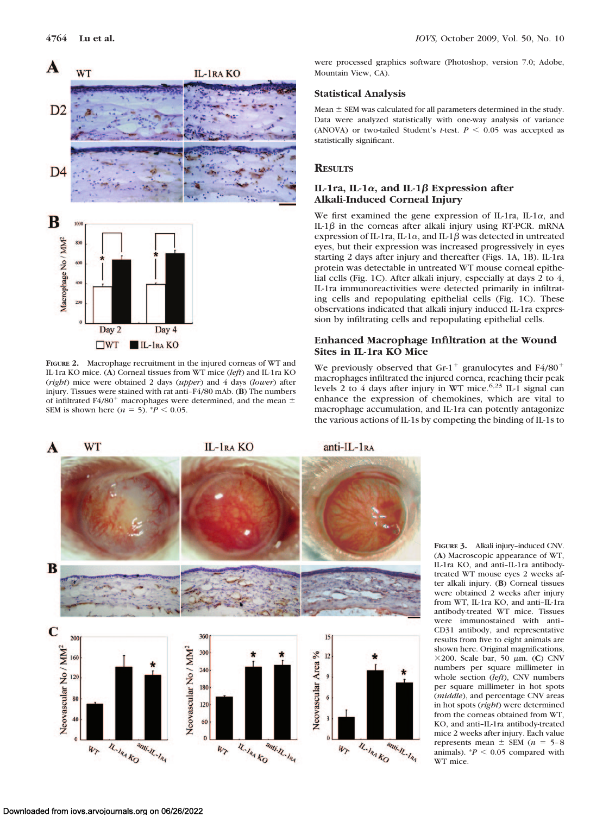

**FIGURE 2.** Macrophage recruitment in the injured corneas of WT and IL-1ra KO mice. (**A**) Corneal tissues from WT mice (*left*) and IL-1ra KO (*right*) mice were obtained 2 days (*upper*) and 4 days (*lower*) after injury. Tissues were stained with rat anti–F4/80 mAb. (**B**) The numbers of infiltrated F4/80<sup>+</sup> macrophages were determined, and the mean  $\pm$ SEM is shown here  $(n = 5)$ . \* $P < 0.05$ .

were processed graphics software (Photoshop, version 7.0; Adobe, Mountain View, CA).

## **Statistical Analysis**

Mean  $\pm$  SEM was calculated for all parameters determined in the study. Data were analyzed statistically with one-way analysis of variance (ANOVA) or two-tailed Student's *t*-test.  $P < 0.05$  was accepted as statistically significant.

## **RESULTS**

#### $IL-Ira, IL-1\alpha, and IL-1\beta$  Expression after **Alkali-Induced Corneal Injury**

We first examined the gene expression of IL-1ra, IL-1 $\alpha$ , and IL- $1\beta$  in the corneas after alkali injury using RT-PCR. mRNA expression of IL-1ra, IL-1 $\alpha$ , and IL-1 $\beta$  was detected in untreated eyes, but their expression was increased progressively in eyes starting 2 days after injury and thereafter (Figs. 1A, 1B). IL-1ra protein was detectable in untreated WT mouse corneal epithelial cells (Fig. 1C). After alkali injury, especially at days 2 to 4, IL-1ra immunoreactivities were detected primarily in infiltrating cells and repopulating epithelial cells (Fig. 1C). These observations indicated that alkali injury induced IL-1ra expression by infiltrating cells and repopulating epithelial cells.

# **Enhanced Macrophage Infiltration at the Wound Sites in IL-1ra KO Mice**

We previously observed that Gr-1<sup>+</sup> granulocytes and F4/80<sup>+</sup> macrophages infiltrated the injured cornea, reaching their peak levels 2 to 4 days after injury in WT mice.  $6.23$  IL-1 signal can enhance the expression of chemokines, which are vital to macrophage accumulation, and IL-1ra can potently antagonize the various actions of IL-1s by competing the binding of IL-1s to



**FIGURE 3.** Alkali injury–induced CNV. (**A**) Macroscopic appearance of WT, IL-1ra KO, and anti–IL-1ra antibodytreated WT mouse eyes 2 weeks after alkali injury. (**B**) Corneal tissues were obtained 2 weeks after injury from WT, IL-1ra KO, and anti–IL-1ra antibody-treated WT mice. Tissues were immunostained with anti– CD31 antibody, and representative results from five to eight animals are shown here. Original magnifications,  $\times$ 200. Scale bar, 50  $\mu$ m. (**C**) CNV numbers per square millimeter in whole section (*left*), CNV numbers per square millimeter in hot spots (*middle*), and percentage CNV areas in hot spots (*right*) were determined from the corneas obtained from WT, KO, and anti–IL-1ra antibody-treated mice 2 weeks after injury. Each value represents mean  $\pm$  SEM ( $n = 5-8$ ) animals).  $P < 0.05$  compared with WT mice.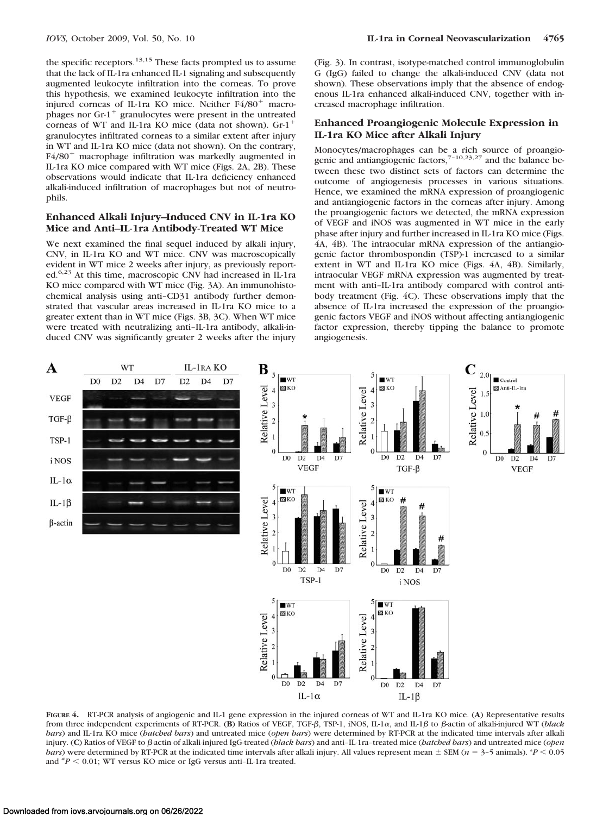the specific receptors. $13,15$  These facts prompted us to assume that the lack of IL-1ra enhanced IL-1 signaling and subsequently augmented leukocyte infiltration into the corneas. To prove this hypothesis, we examined leukocyte infiltration into the injured corneas of IL-1ra KO mice. Neither F4/80<sup>+</sup> macrophages nor  $Gr-1$ <sup>+</sup> granulocytes were present in the untreated corneas of WT and IL-1ra KO mice (data not shown). Gr-1 granulocytes infiltrated corneas to a similar extent after injury in WT and IL-1ra KO mice (data not shown). On the contrary,  $F4/80<sup>+</sup>$  macrophage infiltration was markedly augmented in IL-1ra KO mice compared with WT mice (Figs. 2A, 2B). These observations would indicate that IL-1ra deficiency enhanced alkali-induced infiltration of macrophages but not of neutrophils.

#### **Enhanced Alkali Injury–Induced CNV in IL-1ra KO Mice and Anti–IL-1ra Antibody-Treated WT Mice**

We next examined the final sequel induced by alkali injury, CNV, in IL-1ra KO and WT mice. CNV was macroscopically evident in WT mice 2 weeks after injury, as previously reported.<sup>6,23</sup> At this time, macroscopic CNV had increased in IL-1ra KO mice compared with WT mice (Fig. 3A). An immunohistochemical analysis using anti–CD31 antibody further demonstrated that vascular areas increased in IL-1ra KO mice to a greater extent than in WT mice (Figs. 3B, 3C). When WT mice were treated with neutralizing anti–IL-1ra antibody, alkali-induced CNV was significantly greater 2 weeks after the injury (Fig. 3). In contrast, isotype-matched control immunoglobulin G (IgG) failed to change the alkali-induced CNV (data not shown). These observations imply that the absence of endogenous IL-1ra enhanced alkali-induced CNV, together with increased macrophage infiltration.

## **Enhanced Proangiogenic Molecule Expression in IL-1ra KO Mice after Alkali Injury**

Monocytes/macrophages can be a rich source of proangio-<br>genic and antiangiogenic factors,<sup>7-10,23,27</sup> and the balance between these two distinct sets of factors can determine the outcome of angiogenesis processes in various situations. Hence, we examined the mRNA expression of proangiogenic and antiangiogenic factors in the corneas after injury. Among the proangiogenic factors we detected, the mRNA expression of VEGF and iNOS was augmented in WT mice in the early phase after injury and further increased in IL-1ra KO mice (Figs. 4A, 4B). The intraocular mRNA expression of the antiangiogenic factor thrombospondin (TSP)-1 increased to a similar extent in WT and IL-1ra KO mice (Figs. 4A, 4B). Similarly, intraocular VEGF mRNA expression was augmented by treatment with anti–IL-1ra antibody compared with control antibody treatment (Fig. 4C). These observations imply that the absence of IL-1ra increased the expression of the proangiogenic factors VEGF and iNOS without affecting antiangiogenic factor expression, thereby tipping the balance to promote angiogenesis.



**FIGURE 4.** RT-PCR analysis of angiogenic and IL-1 gene expression in the injured corneas of WT and IL-1ra KO mice. (**A**) Representative results from three independent experiments of RT-PCR. (B) Ratios of VEGF, TGF- $\beta$ , TSP-1, iNOS, IL-1 $\alpha$ , and IL-1 $\beta$  to  $\beta$ -actin of alkali-injured WT (*black bars*) and IL-1ra KO mice (*hatched bars*) and untreated mice (*open bars*) were determined by RT-PCR at the indicated time intervals after alkali injury. (C) Ratios of VEGF to  $\beta$ -actin of alkali-injured IgG-treated (*black bars*) and anti–IL-1ra–treated mice (*batched bars*) and untreated mice (*open bars*) were determined by RT-PCR at the indicated time intervals after alkali injury. All values represent mean  $\pm$  SEM ( $n = 3-5$  animals). \**P* < 0.05 and  $^{*}P$  < 0.01; WT versus KO mice or IgG versus anti-IL-1ra treated.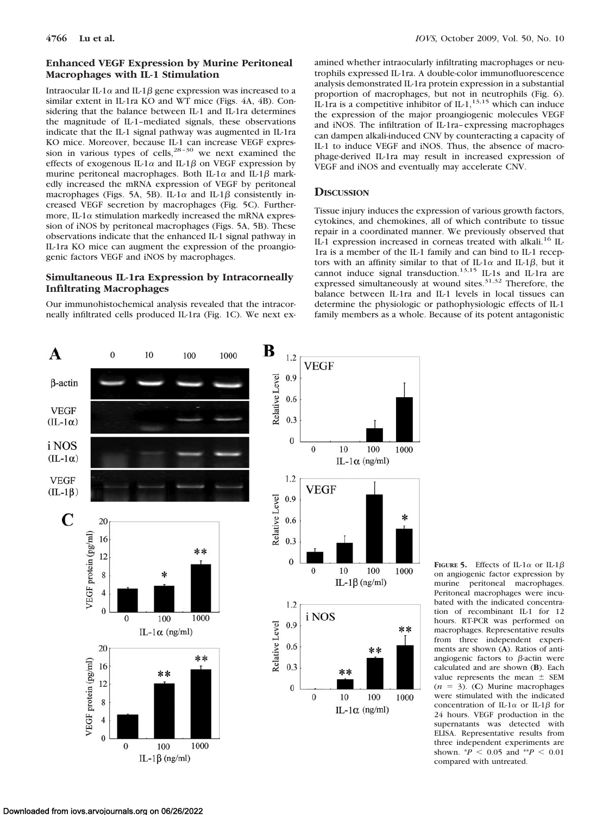# **Enhanced VEGF Expression by Murine Peritoneal Macrophages with IL-1 Stimulation**

Intraocular IL-1 $\alpha$  and IL-1 $\beta$  gene expression was increased to a similar extent in IL-1ra KO and WT mice (Figs. 4A, 4B). Considering that the balance between IL-1 and IL-1ra determines the magnitude of IL-1–mediated signals, these observations indicate that the IL-1 signal pathway was augmented in IL-1ra KO mice. Moreover, because IL-1 can increase VEGF expression in various types of cells, $28-30$  we next examined the effects of exogenous IL-1 $\alpha$  and IL-1 $\beta$  on VEGF expression by murine peritoneal macrophages. Both IL-1 $\alpha$  and IL-1 $\beta$  markedly increased the mRNA expression of VEGF by peritoneal macrophages (Figs. 5A, 5B). IL-1 $\alpha$  and IL-1 $\beta$  consistently increased VEGF secretion by macrophages (Fig. 5C). Furthermore, IL-1 $\alpha$  stimulation markedly increased the mRNA expression of iNOS by peritoneal macrophages (Figs. 5A, 5B). These observations indicate that the enhanced IL-1 signal pathway in IL-1ra KO mice can augment the expression of the proangiogenic factors VEGF and iNOS by macrophages.

## **Simultaneous IL-1ra Expression by Intracorneally Infiltrating Macrophages**

Our immunohistochemical analysis revealed that the intracorneally infiltrated cells produced IL-1ra (Fig. 1C). We next examined whether intraocularly infiltrating macrophages or neutrophils expressed IL-1ra. A double-color immunofluorescence analysis demonstrated IL-1ra protein expression in a substantial proportion of macrophages, but not in neutrophils (Fig. 6). IL-1ra is a competitive inhibitor of IL-1, $^{13,15}$  which can induce the expression of the major proangiogenic molecules VEGF and iNOS. The infiltration of IL-1ra–expressing macrophages can dampen alkali-induced CNV by counteracting a capacity of IL-1 to induce VEGF and iNOS. Thus, the absence of macrophage-derived IL-1ra may result in increased expression of VEGF and iNOS and eventually may accelerate CNV.

# **DISCUSSION**

Tissue injury induces the expression of various growth factors, cytokines, and chemokines, all of which contribute to tissue repair in a coordinated manner. We previously observed that IL-1 expression increased in corneas treated with alkali.<sup>16</sup> IL-1ra is a member of the IL-1 family and can bind to IL-1 receptors with an affinity similar to that of IL-1 $\alpha$  and IL-1 $\beta$ , but it cannot induce signal transduction.<sup>13,15</sup> IL-1s and IL-1ra are expressed simultaneously at wound sites.<sup>31,32</sup> Therefore, the balance between IL-1ra and IL-1 levels in local tissues can determine the physiologic or pathophysiologic effects of IL-1 family members as a whole. Because of its potent antagonistic



**FIGURE 5.** Effects of IL-1 $\alpha$  or IL-1 $\beta$ on angiogenic factor expression by murine peritoneal macrophages. Peritoneal macrophages were incubated with the indicated concentration of recombinant IL-1 for 12 hours. RT-PCR was performed on macrophages. Representative results from three independent experiments are shown (**A**). Ratios of antiangiogenic factors to  $\beta$ -actin were calculated and are shown (**B**). Each value represents the mean  $\pm$  SEM  $(n = 3)$ . (C) Murine macrophages were stimulated with the indicated concentration of IL-1 $\alpha$  or IL-1 $\beta$  for 24 hours. VEGF production in the supernatants was detected with ELISA. Representative results from three independent experiments are shown.  $^{*}P$  < 0.05 and  $^{**}P$  < 0.01 compared with untreated.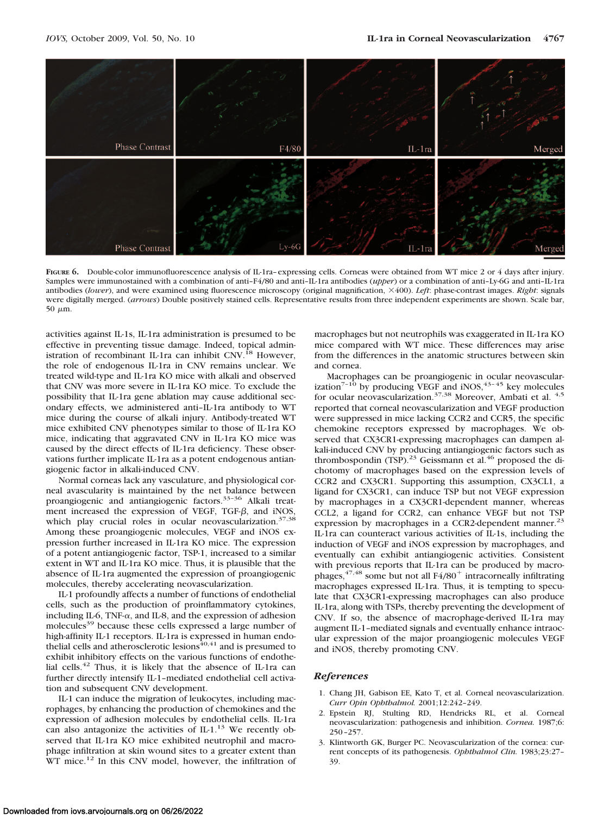

FIGURE 6. Double-color immunofluorescence analysis of IL-1ra–expressing cells. Corneas were obtained from WT mice 2 or 4 days after injury. Samples were immunostained with a combination of anti–F4/80 and anti–IL-1ra antibodies (*upper*) or a combination of anti–Ly-6G and anti–IL-1ra antibodies (*lower*), and were examined using fluorescence microscopy (original magnification, 400). *Left*: phase-contrast images. *Right*: signals were digitally merged. (*arrows*) Double positively stained cells. Representative results from three independent experiments are shown. Scale bar, 50  $\mu$ m.

activities against IL-1s, IL-1ra administration is presumed to be effective in preventing tissue damage. Indeed, topical administration of recombinant IL-1ra can inhibit CNV.<sup>18</sup> However, the role of endogenous IL-1ra in CNV remains unclear. We treated wild-type and IL-1ra KO mice with alkali and observed that CNV was more severe in IL-1ra KO mice. To exclude the possibility that IL-1ra gene ablation may cause additional secondary effects, we administered anti–IL-1ra antibody to WT mice during the course of alkali injury. Antibody-treated WT mice exhibited CNV phenotypes similar to those of IL-1ra KO mice, indicating that aggravated CNV in IL-1ra KO mice was caused by the direct effects of IL-1ra deficiency. These observations further implicate IL-1ra as a potent endogenous antiangiogenic factor in alkali-induced CNV.

Normal corneas lack any vasculature, and physiological corneal avascularity is maintained by the net balance between proangiogenic and antiangiogenic factors.<sup>33-36</sup> Alkali treatment increased the expression of VEGF, TGF- $\beta$ , and iNOS, which play crucial roles in ocular neovascularization. $37,38$ Among these proangiogenic molecules, VEGF and iNOS expression further increased in IL-1ra KO mice. The expression of a potent antiangiogenic factor, TSP-1, increased to a similar extent in WT and IL-1ra KO mice. Thus, it is plausible that the absence of IL-1ra augmented the expression of proangiogenic molecules, thereby accelerating neovascularization.

IL-1 profoundly affects a number of functions of endothelial cells, such as the production of proinflammatory cytokines, including IL-6, TNF- $\alpha$ , and IL-8, and the expression of adhesion molecules<sup>39</sup> because these cells expressed a large number of high-affinity IL-1 receptors. IL-1ra is expressed in human endo-<br>thelial cells and atherosclerotic lesions<sup>40,41</sup> and is presumed to exhibit inhibitory effects on the various functions of endothelial cells.42 Thus, it is likely that the absence of IL-1ra can further directly intensify IL-1–mediated endothelial cell activation and subsequent CNV development.

IL-1 can induce the migration of leukocytes, including macrophages, by enhancing the production of chemokines and the expression of adhesion molecules by endothelial cells. IL-1ra can also antagonize the activities of  $IL-1.^{13}$  We recently observed that IL-1ra KO mice exhibited neutrophil and macrophage infiltration at skin wound sites to a greater extent than WT mice.<sup>12</sup> In this CNV model, however, the infiltration of

macrophages but not neutrophils was exaggerated in IL-1ra KO mice compared with WT mice. These differences may arise from the differences in the anatomic structures between skin and cornea.

Macrophages can be proangiogenic in ocular neovascularization<sup>7-10</sup> by producing VEGF and iNOS,<sup>43-45</sup> key molecules for ocular neovascularization.<sup>37,38</sup> Moreover, Ambati et al.<sup>4,5</sup> reported that corneal neovascularization and VEGF production were suppressed in mice lacking CCR2 and CCR5, the specific chemokine receptors expressed by macrophages. We observed that CX3CR1-expressing macrophages can dampen alkali-induced CNV by producing antiangiogenic factors such as thrombospondin (TSP).<sup>23</sup> Geissmann et al.<sup>46</sup> proposed the dichotomy of macrophages based on the expression levels of CCR2 and CX3CR1. Supporting this assumption, CX3CL1, a ligand for CX3CR1, can induce TSP but not VEGF expression by macrophages in a CX3CR1-dependent manner, whereas CCL2, a ligand for CCR2, can enhance VEGF but not TSP expression by macrophages in a CCR2-dependent manner.<sup>23</sup> IL-1ra can counteract various activities of IL-1s, including the induction of VEGF and iNOS expression by macrophages, and eventually can exhibit antiangiogenic activities. Consistent with previous reports that IL-1ra can be produced by macrophages,  $47,48$  some but not all  $F4/80^+$  intracorneally infiltrating macrophages expressed IL-1ra. Thus, it is tempting to speculate that CX3CR1-expressing macrophages can also produce IL-1ra, along with TSPs, thereby preventing the development of CNV. If so, the absence of macrophage-derived IL-1ra may augment IL-1–mediated signals and eventually enhance intraocular expression of the major proangiogenic molecules VEGF and iNOS, thereby promoting CNV.

## *References*

- 1. Chang JH, Gabison EE, Kato T, et al. Corneal neovascularization. *Curr Opin Ophthalmol.* 2001;12:242–249.
- 2. Epstein RJ, Stulting RD, Hendricks RL, et al. Corneal neovascularization: pathogenesis and inhibition. *Cornea.* 1987;6: 250–257.
- 3. Klintworth GK, Burger PC. Neovascularization of the cornea: current concepts of its pathogenesis. *Ophthalmol Clin.* 1983;23:27– 39.